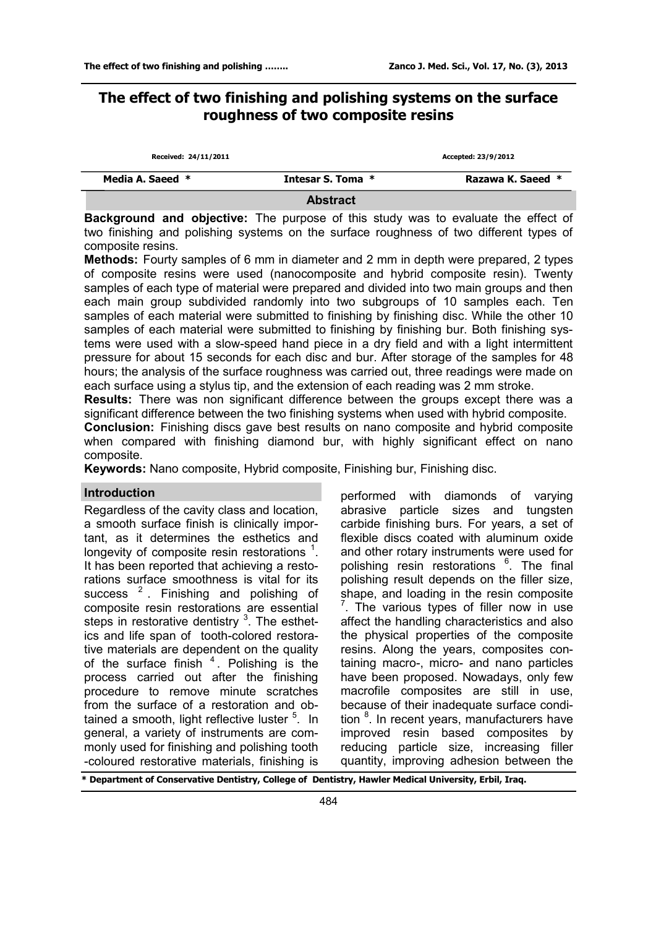# **The effect of two finishing and polishing systems on the surface roughness of two composite resins**

| Received: 24/11/2011 |                   | Accepted: 23/9/2012 |
|----------------------|-------------------|---------------------|
| Media A. Saeed *     | Intesar S. Toma * | Razawa K. Saeed *   |
|                      | <b>Abstract</b>   |                     |

**Background and objective:** The purpose of this study was to evaluate the effect of two finishing and polishing systems on the surface roughness of two different types of composite resins.

**Methods:** Fourty samples of 6 mm in diameter and 2 mm in depth were prepared, 2 types of composite resins were used (nanocomposite and hybrid composite resin). Twenty samples of each type of material were prepared and divided into two main groups and then each main group subdivided randomly into two subgroups of 10 samples each. Ten samples of each material were submitted to finishing by finishing disc. While the other 10 samples of each material were submitted to finishing by finishing bur. Both finishing systems were used with a slow-speed hand piece in a dry field and with a light intermittent pressure for about 15 seconds for each disc and bur. After storage of the samples for 48 hours; the analysis of the surface roughness was carried out, three readings were made on each surface using a stylus tip, and the extension of each reading was 2 mm stroke.

**Results:** There was non significant difference between the groups except there was a significant difference between the two finishing systems when used with hybrid composite.

**Conclusion:** Finishing discs gave best results on nano composite and hybrid composite when compared with finishing diamond bur, with highly significant effect on nano composite.

**Keywords:** Nano composite, Hybrid composite, Finishing bur, Finishing disc.

# **Introduction**

Regardless of the cavity class and location, a smooth surface finish is clinically important, as it determines the esthetics and longevity of composite resin restorations  $1$ . It has been reported that achieving a restorations surface smoothness is vital for its success  $2$ . Finishing and polishing of composite resin restorations are essential steps in restorative dentistry <sup>3</sup>. The esthetics and life span of tooth-colored restorative materials are dependent on the quality of the surface finish  $4$ . Polishing is the process carried out after the finishing procedure to remove minute scratches from the surface of a restoration and obtained a smooth, light reflective luster <sup>5</sup>. In general, a variety of instruments are commonly used for finishing and polishing tooth -coloured restorative materials, finishing is

performed with diamonds of varying abrasive particle sizes and tungsten carbide finishing burs. For years, a set of flexible discs coated with aluminum oxide and other rotary instruments were used for polishing resin restorations <sup>6</sup>. The final polishing result depends on the filler size, shape, and loading in the resin composite  $7$ . The various types of filler now in use affect the handling characteristics and also the physical properties of the composite resins. Along the years, composites containing macro-, micro- and nano particles have been proposed. Nowadays, only few macrofile composites are still in use, because of their inadequate surface condition <sup>8</sup>. In recent years, manufacturers have improved resin based composites by reducing particle size, increasing filler quantity, improving adhesion between the

**\* Department of Conservative Dentistry, College of Dentistry, Hawler Medical University, Erbil, Iraq.**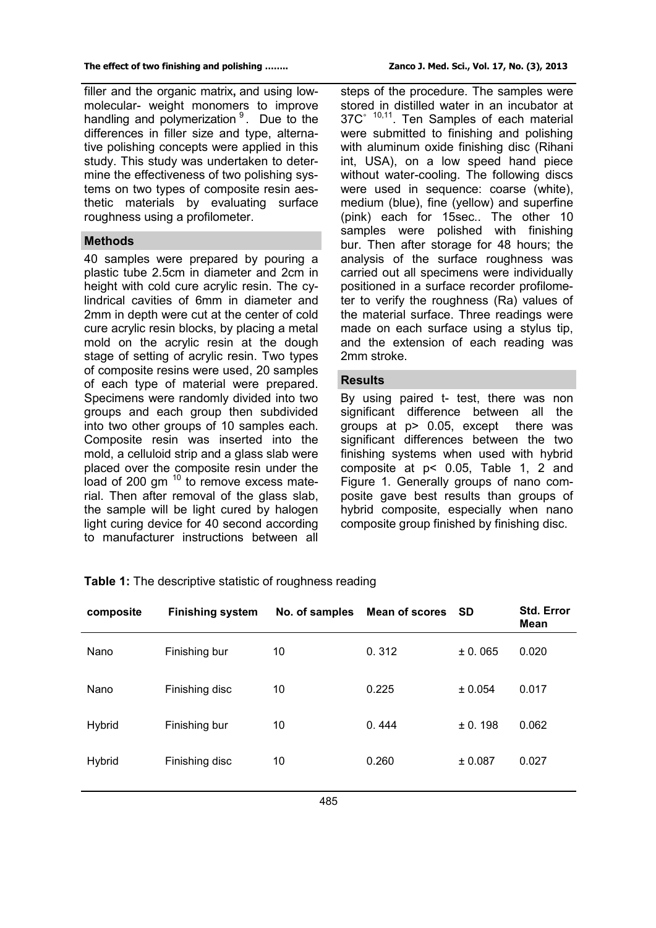filler and the organic matrix**,** and using lowmolecular- weight monomers to improve handling and polymerization <sup>9</sup>. Due to the differences in filler size and type, alternative polishing concepts were applied in this study. This study was undertaken to determine the effectiveness of two polishing systems on two types of composite resin aesthetic materials by evaluating surface roughness using a profilometer.

## **Methods**

40 samples were prepared by pouring a plastic tube 2.5cm in diameter and 2cm in height with cold cure acrylic resin. The cylindrical cavities of 6mm in diameter and 2mm in depth were cut at the center of cold cure acrylic resin blocks, by placing a metal mold on the acrylic resin at the dough stage of setting of acrylic resin. Two types of composite resins were used, 20 samples of each type of material were prepared. Specimens were randomly divided into two groups and each group then subdivided into two other groups of 10 samples each. Composite resin was inserted into the mold, a celluloid strip and a glass slab were placed over the composite resin under the load of 200 gm<sup>10</sup> to remove excess material. Then after removal of the glass slab, the sample will be light cured by halogen light curing device for 40 second according to manufacturer instructions between all

steps of the procedure. The samples were stored in distilled water in an incubator at  $37C<sup>6</sup>$   $10,11$ . Ten Samples of each material were submitted to finishing and polishing with aluminum oxide finishing disc (Rihani int, USA), on a low speed hand piece without water-cooling. The following discs were used in sequence: coarse (white), medium (blue), fine (yellow) and superfine (pink) each for 15sec.. The other 10 samples were polished with finishing bur. Then after storage for 48 hours; the analysis of the surface roughness was carried out all specimens were individually positioned in a surface recorder profilometer to verify the roughness (Ra) values of the material surface. Three readings were made on each surface using a stylus tip, and the extension of each reading was 2mm stroke.

## **Results**

By using paired t- test, there was non significant difference between all the groups at p> 0.05, except there was significant differences between the two finishing systems when used with hybrid composite at p< 0.05, Table 1, 2 and Figure 1. Generally groups of nano composite gave best results than groups of hybrid composite, especially when nano composite group finished by finishing disc.

| composite     | <b>Finishing system</b> | No. of samples | Mean of scores SD |         | <b>Std. Error</b><br>Mean |
|---------------|-------------------------|----------------|-------------------|---------|---------------------------|
| Nano          | Finishing bur           | 10             | 0.312             | ± 0.065 | 0.020                     |
| Nano          | Finishing disc          | 10             | 0.225             | ± 0.054 | 0.017                     |
| <b>Hybrid</b> | Finishing bur           | 10             | 0.444             | ± 0.198 | 0.062                     |
| <b>Hybrid</b> | Finishing disc          | 10             | 0.260             | ± 0.087 | 0.027                     |
|               |                         |                |                   |         |                           |

## **Table 1:** The descriptive statistic of roughness reading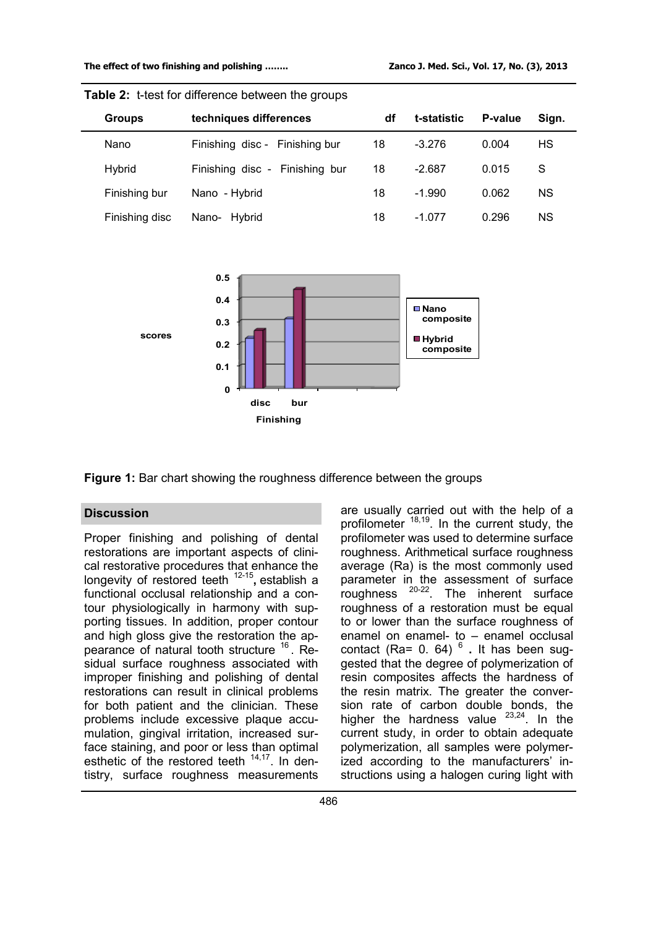| <b>Groups</b>  | techniques differences         | df | t-statistic | P-value | Sign. |  |
|----------------|--------------------------------|----|-------------|---------|-------|--|
| Nano           | Finishing disc - Finishing bur | 18 | $-3.276$    | 0.004   | HS    |  |
| Hybrid         | Finishing disc - Finishing bur | 18 | $-2.687$    | 0.015   | S     |  |
| Finishing bur  | Nano - Hybrid                  | 18 | $-1.990$    | 0.062   | ΝS    |  |
| Finishing disc | Hybrid<br>Nano-                | 18 | $-1.077$    | 0.296   | ΝS    |  |





**Figure 1:** Bar chart showing the roughness difference between the groups

Proper finishing and polishing of dental restorations are important aspects of clinical restorative procedures that enhance the longevity of restored teeth <sup>12-15</sup>, establish a functional occlusal relationship and a contour physiologically in harmony with supporting tissues. In addition, proper contour and high gloss give the restoration the appearance of natural tooth structure <sup>16</sup>. Residual surface roughness associated with improper finishing and polishing of dental restorations can result in clinical problems for both patient and the clinician. These problems include excessive plaque accumulation, gingival irritation, increased surface staining, and poor or less than optimal esthetic of the restored teeth <sup>14,17</sup>. In dentistry, surface roughness measurements

**Discussion Discussion are usually carried out with the help of a** profilometer  $18,19$ . In the current study, the profilometer was used to determine surface roughness. Arithmetical surface roughness average (Ra) is the most commonly used parameter in the assessment of surface roughness  $20-22$ . The inherent surface roughness of a restoration must be equal to or lower than the surface roughness of enamel on enamel- to – enamel occlusal contact (Ra= 0. 64) 6 **.** It has been suggested that the degree of polymerization of resin composites affects the hardness of the resin matrix. The greater the conversion rate of carbon double bonds, the higher the hardness value  $23,24$ . In the current study, in order to obtain adequate polymerization, all samples were polymerized according to the manufacturers' instructions using a halogen curing light with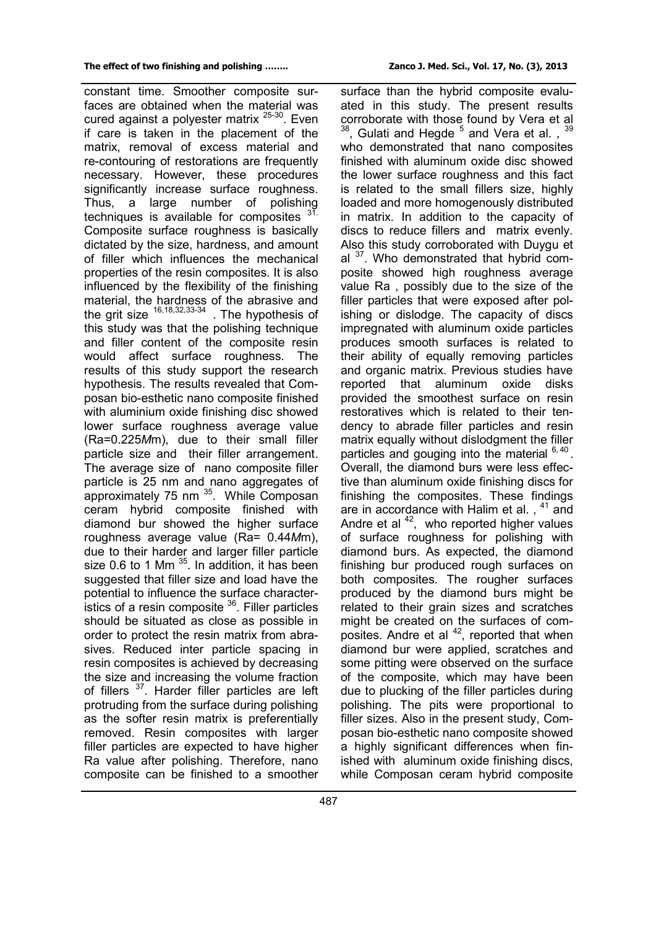constant time. Smoother composite surfaces are obtained when the material was cured against a polyester matrix <sup>25-30</sup>. Even if care is taken in the placement of the matrix, removal of excess material and re-contouring of restorations are frequently necessary. However, these procedures significantly increase surface roughness. Thus, a large number of polishing techniques is available for composites <sup>31.</sup> Composite surface roughness is basically dictated by the size, hardness, and amount of filler which influences the mechanical properties of the resin composites. It is also influenced by the flexibility of the finishing material, the hardness of the abrasive and the grit size  $16,18,32,33-34$  . The hypothesis of this study was that the polishing technique and filler content of the composite resin would affect surface roughness. The results of this study support the research hypothesis. The results revealed that Composan bio-esthetic nano composite finished with aluminium oxide finishing disc showed lower surface roughness average value (Ra=0.225*M*m), due to their small filler particle size and their filler arrangement. The average size of nano composite filler particle is 25 nm and nano aggregates of approximately 75 nm<sup>35</sup>. While Composan ceram hybrid composite finished with diamond bur showed the higher surface roughness average value (Ra= 0.44*M*m), due to their harder and larger filler particle size 0.6 to 1 Mm  $^{35}$ . In addition, it has been suggested that filler size and load have the potential to influence the surface characteristics of a resin composite  $36$ . Filler particles should be situated as close as possible in order to protect the resin matrix from abrasives. Reduced inter particle spacing in resin composites is achieved by decreasing the size and increasing the volume fraction of fillers <sup>37</sup>. Harder filler particles are left protruding from the surface during polishing as the softer resin matrix is preferentially removed. Resin composites with larger filler particles are expected to have higher Ra value after polishing. Therefore, nano composite can be finished to a smoother

surface than the hybrid composite evaluated in this study. The present results corroborate with those found by Vera et al  $^{38}$ , Gulati and Hegde  $^5$  and Vera et al.,  $^{39}$ who demonstrated that nano composites finished with aluminum oxide disc showed the lower surface roughness and this fact is related to the small fillers size, highly loaded and more homogenously distributed in matrix. In addition to the capacity of discs to reduce fillers and matrix evenly. Also this study corroborated with Duygu et al  $37$ . Who demonstrated that hybrid composite showed high roughness average value Ra , possibly due to the size of the filler particles that were exposed after polishing or dislodge. The capacity of discs impregnated with aluminum oxide particles produces smooth surfaces is related to their ability of equally removing particles and organic matrix. Previous studies have reported that aluminum oxide disks provided the smoothest surface on resin restoratives which is related to their tendency to abrade filler particles and resin matrix equally without dislodgment the filler particles and gouging into the material 6,40. Overall, the diamond burs were less effective than aluminum oxide finishing discs for finishing the composites. These findings are in accordance with Halim et al., <sup>41</sup> and Andre et al  $42$ , who reported higher values of surface roughness for polishing with diamond burs. As expected, the diamond finishing bur produced rough surfaces on both composites. The rougher surfaces produced by the diamond burs might be related to their grain sizes and scratches might be created on the surfaces of composites. Andre et al <sup>42</sup>, reported that when diamond bur were applied, scratches and some pitting were observed on the surface of the composite, which may have been due to plucking of the filler particles during polishing. The pits were proportional to filler sizes. Also in the present study, Composan bio-esthetic nano composite showed a highly significant differences when finished with aluminum oxide finishing discs, while Composan ceram hybrid composite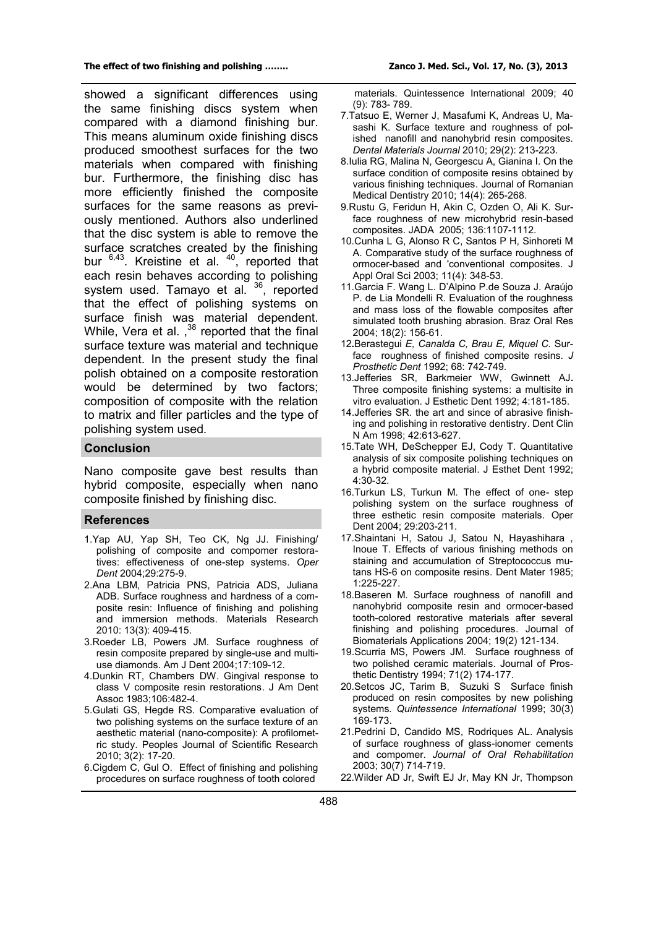showed a significant differences using the same finishing discs system when compared with a diamond finishing bur. This means aluminum oxide finishing discs produced smoothest surfaces for the two materials when compared with finishing bur. Furthermore, the finishing disc has more efficiently finished the composite surfaces for the same reasons as previously mentioned. Authors also underlined that the disc system is able to remove the surface scratches created by the finishing bur  $6,43$ . Kreistine et al.  $40$ , reported that each resin behaves according to polishing system used. Tamayo et al. <sup>36</sup>, reported that the effect of polishing systems on surface finish was material dependent. While, Vera et al.  $,^{38}$  reported that the final surface texture was material and technique dependent. In the present study the final polish obtained on a composite restoration would be determined by two factors; composition of composite with the relation to matrix and filler particles and the type of polishing system used.

#### **Conclusion**

Nano composite gave best results than hybrid composite, especially when nano composite finished by finishing disc.

#### **References**

- 1.Yap AU, Yap SH, Teo CK, Ng JJ. Finishing/ polishing of composite and compomer restoratives: effectiveness of one-step systems. *Oper Dent* 2004;29:275-9.
- 2.Ana LBM, Patricia PNS, Patricia ADS, Juliana ADB. Surface roughness and hardness of a composite resin: Influence of finishing and polishing and immersion methods. Materials Research 2010: 13(3): 409-415.
- 3.Roeder LB, Powers JM. Surface roughness of resin composite prepared by single-use and multiuse diamonds. Am J Dent 2004;17:109-12.
- 4.Dunkin RT, Chambers DW. Gingival response to class V composite resin restorations. J Am Dent Assoc 1983;106:482-4.
- 5.Gulati GS, Hegde RS. Comparative evaluation of two polishing systems on the surface texture of an aesthetic material (nano-composite): A profilometric study. Peoples Journal of Scientific Research 2010; 3(2): 17-20.
- 6.Cigdem C, Gul O. Effect of finishing and polishing procedures on surface roughness of tooth colored

 materials. Quintessence International 2009; 40 (9): 783- 789.

- 7.Tatsuo E, Werner J, Masafumi K, Andreas U, Masashi K. Surface texture and roughness of polished nanofill and nanohybrid resin composites. *Dental Materials Journal* 2010; 29(2): 213-223.
- 8.Iulia RG, Malina N, Georgescu A, Gianina I. On the surface condition of composite resins obtained by various finishing techniques. Journal of Romanian Medical Dentistry 2010; 14(4): 265-268.
- 9.Rustu G, Feridun H, Akin C, Ozden O, Ali K. Surface roughness of new microhybrid resin-based composites. JADA 2005; 136:1107-1112.
- 10.Cunha L G, Alonso R C, Santos P H, Sinhoreti M A. Comparative study of the surface roughness of ormocer-based and 'conventional composites. J Appl Oral Sci 2003; 11(4): 348-53.
- 11.Garcia F. Wang L. D'Alpino P.de Souza J. Araújo P. de Lia Mondelli R. Evaluation of the roughness and mass loss of the flowable composites after simulated tooth brushing abrasion. Braz Oral Res 2004; 18(2): 156-61.
- 12**.**Berastegui *E, Canalda C, Brau E, Miquel C.* Surface roughness of finished composite resins. *J Prosthetic Dent* 1992; 68: 742-749.
- 13.Jefferies SR, Barkmeier WW, Gwinnett AJ**.** Three composite finishing systems: a multisite in vitro evaluation. J Esthetic Dent 1992; 4:181-185.
- 14.Jefferies SR. the art and since of abrasive finishing and polishing in restorative dentistry. Dent Clin N Am 1998; 42:613-627.
- 15.Tate WH, DeSchepper EJ, Cody T. Quantitative analysis of six composite polishing techniques on a hybrid composite material. J Esthet Dent 1992; 4:30-32.
- 16.Turkun LS, Turkun M. The effect of one- step polishing system on the surface roughness of three esthetic resin composite materials. Oper Dent 2004; 29:203-211.
- 17.Shaintani H, Satou J, Satou N, Hayashihara , Inoue T. Effects of various finishing methods on staining and accumulation of Streptococcus mutans HS-6 on composite resins. Dent Mater 1985; 1:225-227.
- 18.Baseren M. Surface roughness of nanofill and nanohybrid composite resin and ormocer-based tooth-colored restorative materials after several finishing and polishing procedures. Journal of Biomaterials Applications 2004; 19(2) 121-134.
- 19.Scurria MS, Powers JM. Surface roughness of two polished ceramic materials. Journal of Prosthetic Dentistry 1994; 71(2) 174-177.
- 20.Setcos JC, Tarim B, Suzuki S Surface finish produced on resin composites by new polishing systems*. Quintessence International* 1999; 30(3) 169-173.
- 21.Pedrini D, Candido MS, Rodriques AL. Analysis of surface roughness of glass-ionomer cements and compomer. *Journal of Oral Rehabilitation* 2003; 30(7) 714-719.
- 22.Wilder AD Jr, Swift EJ Jr, May KN Jr, Thompson